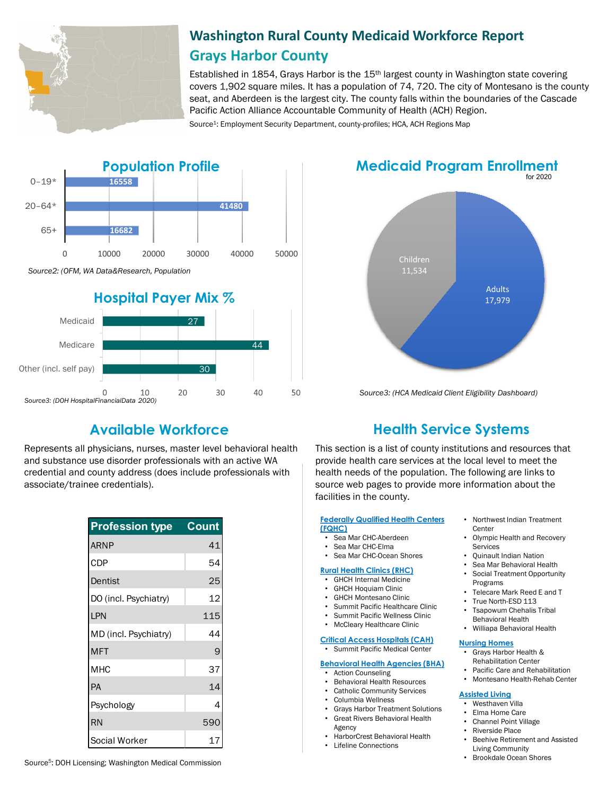

Other (incl. self pay)

*Source3: (DOH HospitalFinancialData 2020)*

 $\mathbf 0$ 

# **Washington Rural County Medicaid Workforce Report Grays Harbor County**

Established in 1854, Grays Harbor is the 15th largest county in Washington state covering covers 1,902 square miles. It has a population of 74, 720. The city of Montesano is the county seat, and Aberdeen is the largest city. The county falls within the boundaries of the Cascade Pacific Action Alliance Accountable Community of Health (ACH) Region.

Source<sup>1</sup>: Employment Security Department, county-profiles; HCA, ACH Regions Map



## for 2020 **Medicaid Program Enrollment**



*Source3: (HCA Medicaid Client Eligibility Dashboard)*

10

30

30

40

50

20

Represents all physicians, nurses, master level behavioral health and substance use disorder professionals with an active WA credential and county address (does include professionals with associate/trainee credentials).

| <b>Profession type</b> | Count |
|------------------------|-------|
| <b>ARNP</b>            | 41    |
| <b>CDP</b>             | 54    |
| Dentist                | 25    |
| DO (incl. Psychiatry)  | 12    |
| LPN                    | 115   |
| MD (incl. Psychiatry)  | 44    |
| <b>MFT</b>             | 9     |
| <b>MHC</b>             | 37    |
| PA                     | 14    |
| Psychology             | 4     |
| <b>RN</b>              | 590   |
| Social Worker          | 17    |

# **Available Workforce Health Service Systems**

This section is a list of county institutions and resources that provide health care services at the local level to meet the health needs of the population. The following are links to source web pages to provide more information about the facilities in the county.

#### **[Federally Qualified Health Centers](https://www.wacommunityhealth.org/)  (FQHC)**

- Sea Mar CHC-Aberdeen<br>• Sea Mar CHC-Elma
- Sea Mar CHC-Elma
- Sea Mar CHC-Ocean Shores

#### **[Rural Health Clinics \(RHC\)](https://data.hrsa.gov/)**

- GHCH Internal Medicine
- GHCH Hoquiam Clinic
- GHCH Montesano Clinic<br>• Summit Positic Hoolthee
- Summit Pacific Healthcare Clinic
- Summit Pacific Wellness Clinic
- McCleary Healthcare Clinic

#### **[Critical Access Hospitals \(CAH\)](https://www.doh.wa.gov/ForPublicHealthandHealthcareProviders/RuralHealth/RuralHealthSystems)**

- Summit Pacific Medical Center
- **[Behavioral Health Agencies \(BHA\)](https://www.doh.wa.gov/LicensesPermitsandCertificates/ProviderCredentialSearch)**
	- Action Counseling
	- Behavioral Health Resources
- Catholic Community Services
- Columbia Wellness
- Grays Harbor Treatment Solutions • Great Rivers Behavioral Health
- Agency
	- HarborCrest Behavioral Health<br>• Lifeline Connections
	- Lifeline Connections
- Northwest Indian Treatment **Center**
- Olympic Health and Recovery **Services**
- Quinault Indian Nation
- Sea Mar Behavioral Health
- Social Treatment Opportunity Programs
- Telecare Mark Reed E and T
- True North-ESD 113
- Tsapowum Chehalis Tribal
- Behavioral Health • Williapa Behavioral Health

# **[Nursing Homes](https://fortress.wa.gov/dshs/adsaapps/lookup/NHPubLookup.aspx)**

- Grays Harbor Health & Rehabilitation Center
- Pacific Care and Rehabilitation
- Montesano Health-Rehab Center

## **[Assisted Living](https://fortress.wa.gov/dshs/adsaapps/lookup/BHPubLookup.aspx)**

- Westhaven Villa
- Elma Home Care
- Channel Point Village
- Riverside Place
- Beehive Retirement and Assisted Living Community
- Brookdale Ocean Shores

Source5: DOH Licensing; Washington Medical Commission